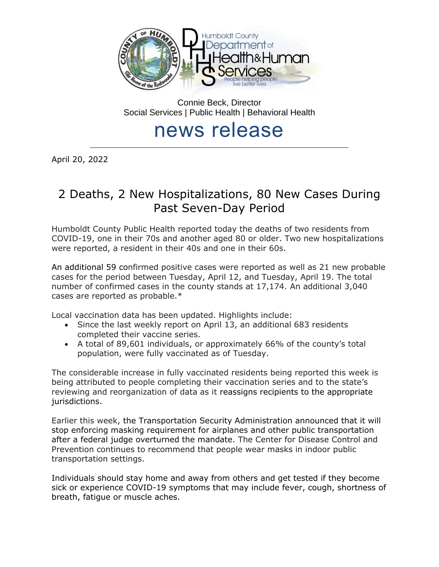

Connie Beck, Director Social Services | Public Health | Behavioral Health

## news release \_\_\_\_\_\_\_\_\_\_\_\_\_\_\_\_\_\_\_\_\_\_\_\_\_\_\_\_\_\_\_\_\_\_\_\_\_\_\_\_\_\_\_\_\_\_\_\_\_\_\_\_\_\_\_\_\_\_\_\_\_\_\_\_\_\_\_\_\_\_\_\_\_\_\_\_\_\_\_\_\_

April 20, 2022

# 2 Deaths, 2 New Hospitalizations, 80 New Cases During Past Seven-Day Period

Humboldt County Public Health reported today the deaths of two residents from COVID-19, one in their 70s and another aged 80 or older. Two new hospitalizations were reported, a resident in their 40s and one in their 60s.

An additional 59 confirmed positive cases were reported as well as 21 new probable cases for the period between Tuesday, April 12, and Tuesday, April 19. The total number of confirmed cases in the county stands at 17,174. An additional 3,040 cases are reported as probable.\*

Local vaccination data has been updated. Highlights include:

- Since the last weekly report on April 13, an additional 683 residents completed their vaccine series.
- A total of 89,601 individuals, or approximately 66% of the county's total population, were fully vaccinated as of Tuesday.

The considerable increase in fully vaccinated residents being reported this week is being attributed to people completing their vaccination series and to the state's reviewing and reorganization of data as it reassigns recipients to the appropriate jurisdictions.

Earlier this week, the Transportation Security Administration announced that it will stop enforcing masking requirement for airplanes and other public transportation after a federal judge overturned the mandate. The Center for Disease Control and Prevention continues to recommend that people wear masks in indoor public transportation settings.

Individuals should stay home and away from others and get tested if they become sick or experience COVID-19 symptoms that may include fever, cough, shortness of breath, fatigue or muscle aches.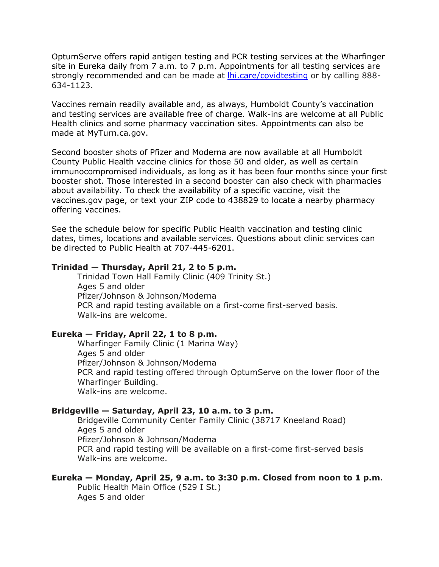OptumServe offers rapid antigen testing and PCR testing services at the Wharfinger site in Eureka daily from 7 a.m. to 7 p.m. Appointments for all testing services are strongly recommended and can be made at *lhi.care/covidtesting* or by calling 888-634-1123.

Vaccines remain readily available and, as always, Humboldt County's vaccination and testing services are available free of charge. Walk-ins are welcome at all Public Health clinics and some pharmacy vaccination sites. Appointments can also be made at [MyTurn.ca.gov.](https://myturn.ca.gov/)

Second booster shots of Pfizer and Moderna are now available at all Humboldt County Public Health vaccine clinics for those 50 and older, as well as certain immunocompromised individuals, as long as it has been four months since your first booster shot. Those interested in a second booster can also check with pharmacies about availability. To check the availability of a specific vaccine, visit the [vaccines.gov](https://www.vaccines.gov/search/) page, or text your ZIP code to 438829 to locate a nearby pharmacy offering vaccines.

See the schedule below for specific Public Health vaccination and testing clinic dates, times, locations and available services. Questions about clinic services can be directed to Public Health at 707-445-6201.

#### **Trinidad — Thursday, April 21, 2 to 5 p.m.**

Trinidad Town Hall Family Clinic (409 Trinity St.) Ages 5 and older Pfizer/Johnson & Johnson/Moderna PCR and rapid testing available on a first-come first-served basis. Walk-ins are welcome.

#### **Eureka — Friday, April 22, 1 to 8 p.m.**

Wharfinger Family Clinic (1 Marina Way) Ages 5 and older Pfizer/Johnson & Johnson/Moderna PCR and rapid testing offered through OptumServe on the lower floor of the Wharfinger Building. Walk-ins are welcome.

#### **Bridgeville — Saturday, April 23, 10 a.m. to 3 p.m.**

Bridgeville Community Center Family Clinic (38717 Kneeland Road) Ages 5 and older Pfizer/Johnson & Johnson/Moderna PCR and rapid testing will be available on a first-come first-served basis Walk-ins are welcome.

#### **Eureka — Monday, April 25, 9 a.m. to 3:30 p.m. Closed from noon to 1 p.m.**

Public Health Main Office (529 I St.) Ages 5 and older